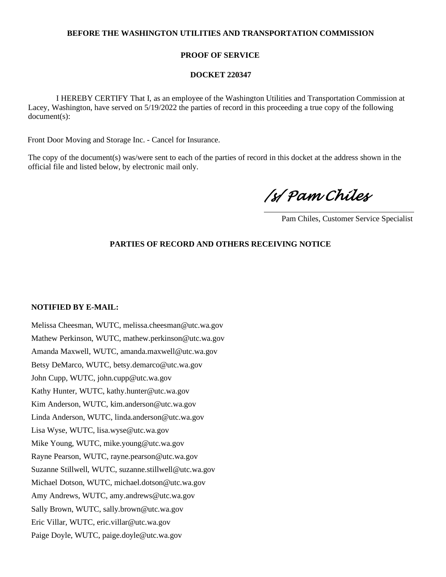## **BEFORE THE WASHINGTON UTILITIES AND TRANSPORTATION COMMISSION**

## **PROOF OF SERVICE**

### **DOCKET 220347**

 I HEREBY CERTIFY That I, as an employee of the Washington Utilities and Transportation Commission at Lacey, Washington, have served on 5/19/2022 the parties of record in this proceeding a true copy of the following document(s):

Front Door Moving and Storage Inc. - Cancel for Insurance.

The copy of the document(s) was/were sent to each of the parties of record in this docket at the address shown in the official file and listed below, by electronic mail only.

*/s/ Pam Chiles* 

Pam Chiles, Customer Service Specialist

# **PARTIES OF RECORD AND OTHERS RECEIVING NOTICE**

#### **NOTIFIED BY E-MAIL:**

Melissa Cheesman, WUTC, melissa.cheesman@utc.wa.gov Mathew Perkinson, WUTC, mathew.perkinson@utc.wa.gov Amanda Maxwell, WUTC, amanda.maxwell@utc.wa.gov Betsy DeMarco, WUTC, betsy.demarco@utc.wa.gov John Cupp, WUTC, john.cupp@utc.wa.gov Kathy Hunter, WUTC, kathy.hunter@utc.wa.gov Kim Anderson, WUTC, kim.anderson@utc.wa.gov Linda Anderson, WUTC, linda.anderson@utc.wa.gov Lisa Wyse, WUTC, lisa.wyse@utc.wa.gov Mike Young, WUTC, mike.young@utc.wa.gov Rayne Pearson, WUTC, rayne.pearson@utc.wa.gov Suzanne Stillwell, WUTC, suzanne.stillwell@utc.wa.gov Michael Dotson, WUTC, michael.dotson@utc.wa.gov Amy Andrews, WUTC, amy.andrews@utc.wa.gov Sally Brown, WUTC, sally.brown@utc.wa.gov Eric Villar, WUTC, eric.villar@utc.wa.gov Paige Doyle, WUTC, paige.doyle@utc.wa.gov